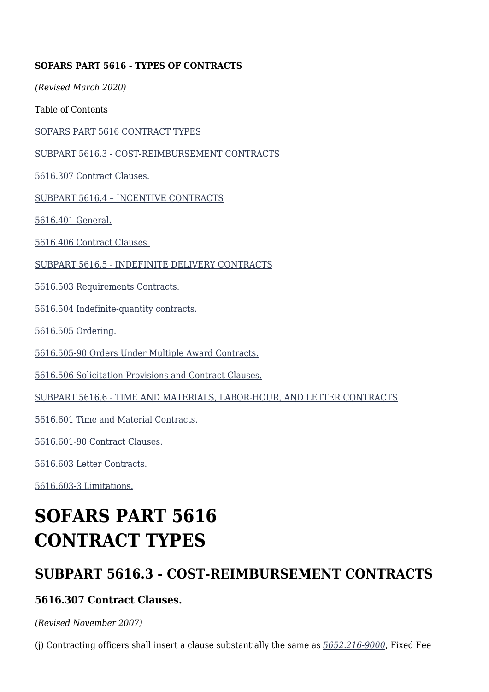#### **SOFARS PART 5616 - TYPES OF CONTRACTS**

*(Revised March 2020)*

Table of Contents

[SOFARS PART 5616 CONTRACT TYPES](#page--1-0)

[SUBPART 5616.3 - COST-REIMBURSEMENT CONTRACTS](#page--1-0)

[5616.307 Contract Clauses.](#page--1-0)

[SUBPART 5616.4 – INCENTIVE CONTRACTS](#page--1-0)

[5616.401 General.](#page--1-0)

[5616.406 Contract Clauses.](#page--1-0)

[SUBPART 5616.5 - INDEFINITE DELIVERY CONTRACTS](#page--1-0)

[5616.503 Requirements Contracts.](#page--1-0)

[5616.504 Indefinite-quantity contracts.](#page--1-0)

[5616.505 Ordering.](#page--1-0)

[5616.505-90 Orders Under Multiple Award Contracts.](#page--1-0)

[5616.506 Solicitation Provisions and Contract Clauses.](#page--1-0)

[SUBPART 5616.6 - TIME AND MATERIALS, LABOR-HOUR, AND LETTER CONTRACTS](#page--1-0)

[5616.601 Time and Material Contracts.](#page--1-0)

[5616.601-90 Contract Clauses.](#page--1-0)

[5616.603 Letter Contracts.](#page--1-0)

[5616.603-3 Limitations.](#page--1-0)

# **SOFARS PART 5616 CONTRACT TYPES**

# **SUBPART 5616.3 - COST-REIMBURSEMENT CONTRACTS**

#### **5616.307 Contract Clauses.**

*(Revised November 2007)*

(j) Contracting officers shall insert a clause substantially the same as *[5652.216-9000](https://sof.atl.socom.mil/sites/K/SOFARS_DCG/SOFARS/5652.docx#BM216_9000)*, Fixed Fee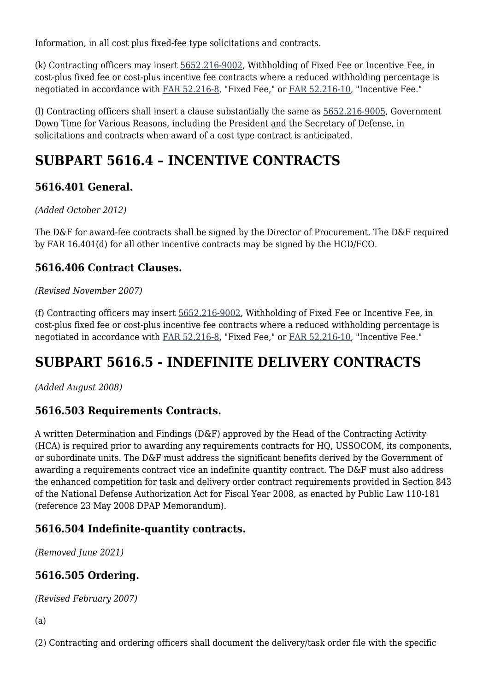Information, in all cost plus fixed-fee type solicitations and contracts.

(k) Contracting officers may insert [5652.216-9002](https://sof.atl.socom.mil/sites/K/SOFARS_DCG/SOFARS/5652.docx#BM216_9002), Withholding of Fixed Fee or Incentive Fee, in cost-plus fixed fee or cost-plus incentive fee contracts where a reduced withholding percentage is negotiated in accordance with [FAR 52.216-8,](https://www.acquisition.gov/content/part-52-solicitation-provisions-and-contract-clauses#i1058442) "Fixed Fee," or [FAR 52.216-10](https://www.acquisition.gov/content/part-52-solicitation-provisions-and-contract-clauses#i1058463), "Incentive Fee."

(l) Contracting officers shall insert a clause substantially the same as [5652.216-9005](https://sof.atl.socom.mil/sites/K/SOFARS_DCG/SOFARS/5652.docx#BM216_9005), Government Down Time for Various Reasons, including the President and the Secretary of Defense, in solicitations and contracts when award of a cost type contract is anticipated.

# **SUBPART 5616.4 – INCENTIVE CONTRACTS**

## **5616.401 General.**

*(Added October 2012)*

The D&F for award-fee contracts shall be signed by the Director of Procurement. The D&F required by FAR 16.401(d) for all other incentive contracts may be signed by the HCD/FCO.

## **5616.406 Contract Clauses.**

#### *(Revised November 2007)*

(f) Contracting officers may insert [5652.216-9002,](https://sof.atl.socom.mil/sites/K/SOFARS_DCG/SOFARS/5652.docx#BM216_9002) Withholding of Fixed Fee or Incentive Fee, in cost-plus fixed fee or cost-plus incentive fee contracts where a reduced withholding percentage is negotiated in accordance with [FAR 52.216-8,](https://www.acquisition.gov/content/part-52-solicitation-provisions-and-contract-clauses#i1058442) "Fixed Fee," or [FAR 52.216-10](https://www.acquisition.gov/content/part-52-solicitation-provisions-and-contract-clauses#i1058463), "Incentive Fee."

# **SUBPART 5616.5 - INDEFINITE DELIVERY CONTRACTS**

*(Added August 2008)*

## **5616.503 Requirements Contracts.**

A written Determination and Findings (D&F) approved by the Head of the Contracting Activity (HCA) is required prior to awarding any requirements contracts for HQ, USSOCOM, its components, or subordinate units. The D&F must address the significant benefits derived by the Government of awarding a requirements contract vice an indefinite quantity contract. The D&F must also address the enhanced competition for task and delivery order contract requirements provided in Section 843 of the National Defense Authorization Act for Fiscal Year 2008, as enacted by Public Law 110-181 (reference 23 May 2008 DPAP Memorandum).

## **5616.504 Indefinite-quantity contracts.**

*(Removed June 2021)*

# **5616.505 Ordering.**

*(Revised February 2007)*

(a)

(2) Contracting and ordering officers shall document the delivery/task order file with the specific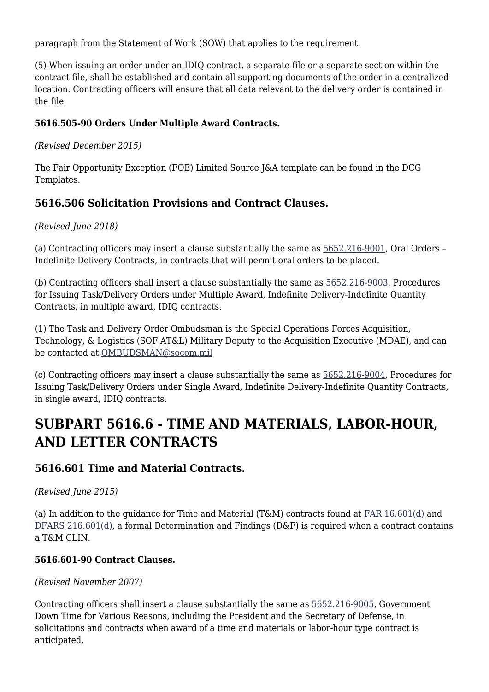paragraph from the Statement of Work (SOW) that applies to the requirement.

(5) When issuing an order under an IDIQ contract, a separate file or a separate section within the contract file, shall be established and contain all supporting documents of the order in a centralized location. Contracting officers will ensure that all data relevant to the delivery order is contained in the file.

#### **5616.505-90 Orders Under Multiple Award Contracts.**

*(Revised December 2015)*

The Fair Opportunity Exception (FOE) Limited Source J&A template can be found in the DCG Templates.

### **5616.506 Solicitation Provisions and Contract Clauses.**

#### *(Revised June 2018)*

(a) Contracting officers may insert a clause substantially the same as [5652.216-9001](https://sof.atl.socom.mil/sites/K/SOFARS_DCG/SOFARS/5652.docx#BM216_9001), Oral Orders – Indefinite Delivery Contracts, in contracts that will permit oral orders to be placed.

(b) Contracting officers shall insert a clause substantially the same as [5652.216-9003,](https://sof.atl.socom.mil/sites/K/SOFARS_DCG/SOFARS/5652.docx) Procedures for Issuing Task/Delivery Orders under Multiple Award, Indefinite Delivery-Indefinite Quantity Contracts, in multiple award, IDIQ contracts.

(1) The Task and Delivery Order Ombudsman is the Special Operations Forces Acquisition, Technology, & Logistics (SOF AT&L) Military Deputy to the Acquisition Executive (MDAE), and can be contacted at [OMBUDSMAN@socom.mil](mailto:OMBUDSMAN@socom.mil)

(c) Contracting officers may insert a clause substantially the same as [5652.216-9004,](https://sof.atl.socom.mil/sites/K/SOFARS_DCG/SOFARS/5652.docx#BM216_9004) Procedures for Issuing Task/Delivery Orders under Single Award, Indefinite Delivery-Indefinite Quantity Contracts, in single award, IDIQ contracts.

# **SUBPART 5616.6 - TIME AND MATERIALS, LABOR-HOUR, AND LETTER CONTRACTS**

#### **5616.601 Time and Material Contracts.**

*(Revised June 2015)*

(a) In addition to the guidance for Time and Material (T&M) contracts found at [FAR 16.601\(d\)](https://www.acquisition.gov/content/part-16-types-contracts#i1103674) and [DFARS 216.601\(d\),](https://www.acquisition.gov/dfars/types-contracts) a formal Determination and Findings (D&F) is required when a contract contains a T&M CLIN.

#### **5616.601-90 Contract Clauses.**

*(Revised November 2007)*

Contracting officers shall insert a clause substantially the same as [5652.216-9005](https://sof.atl.socom.mil/sites/K/SOFARS_DCG/SOFARS/5652.docx#BM216_9005), Government Down Time for Various Reasons, including the President and the Secretary of Defense, in solicitations and contracts when award of a time and materials or labor-hour type contract is anticipated.